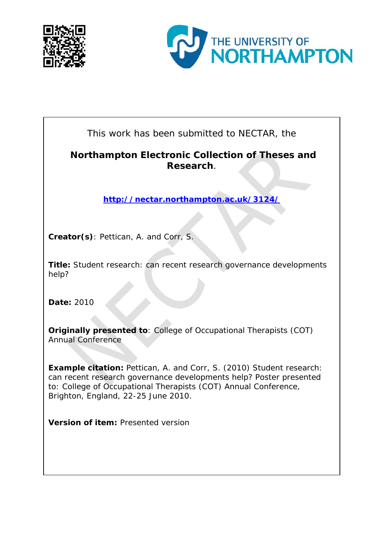



This work has been submitted to NECTAR, the

#### **Northampton Electronic Collection of Theses and Research**.

**<http://nectar.northampton.ac.uk/3124/>**

**Creator(s)**: Pettican, A. and Corr, S.

**Title:** Student research: can recent research governance developments help?

**Date:** 2010

**Originally presented to**: College of Occupational Therapists (COT) Annual Conference

**Example citation:** Pettican, A. and Corr, S. (2010) Student research: can recent research governance developments help? Poster presented to: *College of Occupational Therapists (COT) Annual Conference, Brighton, England, 22-25 June 2010*.

**Version of item:** Presented version